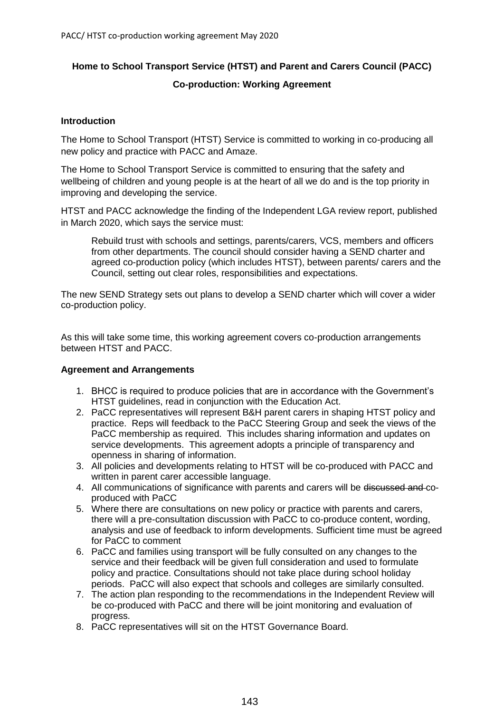## **Home to School Transport Service (HTST) and Parent and Carers Council (PACC)**

## **Co-production: Working Agreement**

## **Introduction**

The Home to School Transport (HTST) Service is committed to working in co-producing all new policy and practice with PACC and Amaze.

The Home to School Transport Service is committed to ensuring that the safety and wellbeing of children and young people is at the heart of all we do and is the top priority in improving and developing the service.

HTST and PACC acknowledge the finding of the Independent LGA review report, published in March 2020, which says the service must:

Rebuild trust with schools and settings, parents/carers, VCS, members and officers from other departments. The council should consider having a SEND charter and agreed co-production policy (which includes HTST), between parents/ carers and the Council, setting out clear roles, responsibilities and expectations.

The new SEND Strategy sets out plans to develop a SEND charter which will cover a wider co-production policy.

As this will take some time, this working agreement covers co-production arrangements between HTST and PACC.

## **Agreement and Arrangements**

- 1. BHCC is required to produce policies that are in accordance with the Government's HTST guidelines, read in conjunction with the Education Act.
- 2. PaCC representatives will represent B&H parent carers in shaping HTST policy and practice. Reps will feedback to the PaCC Steering Group and seek the views of the PaCC membership as required. This includes sharing information and updates on service developments. This agreement adopts a principle of transparency and openness in sharing of information.
- 3. All policies and developments relating to HTST will be co-produced with PACC and written in parent carer accessible language.
- 4. All communications of significance with parents and carers will be discussed and coproduced with PaCC
- 5. Where there are consultations on new policy or practice with parents and carers, there will a pre-consultation discussion with PaCC to co-produce content, wording, analysis and use of feedback to inform developments. Sufficient time must be agreed for PaCC to comment
- 6. PaCC and families using transport will be fully consulted on any changes to the service and their feedback will be given full consideration and used to formulate policy and practice. Consultations should not take place during school holiday periods. PaCC will also expect that schools and colleges are similarly consulted.
- 7. The action plan responding to the recommendations in the Independent Review will be co-produced with PaCC and there will be joint monitoring and evaluation of progress.
- 8. PaCC representatives will sit on the HTST Governance Board.